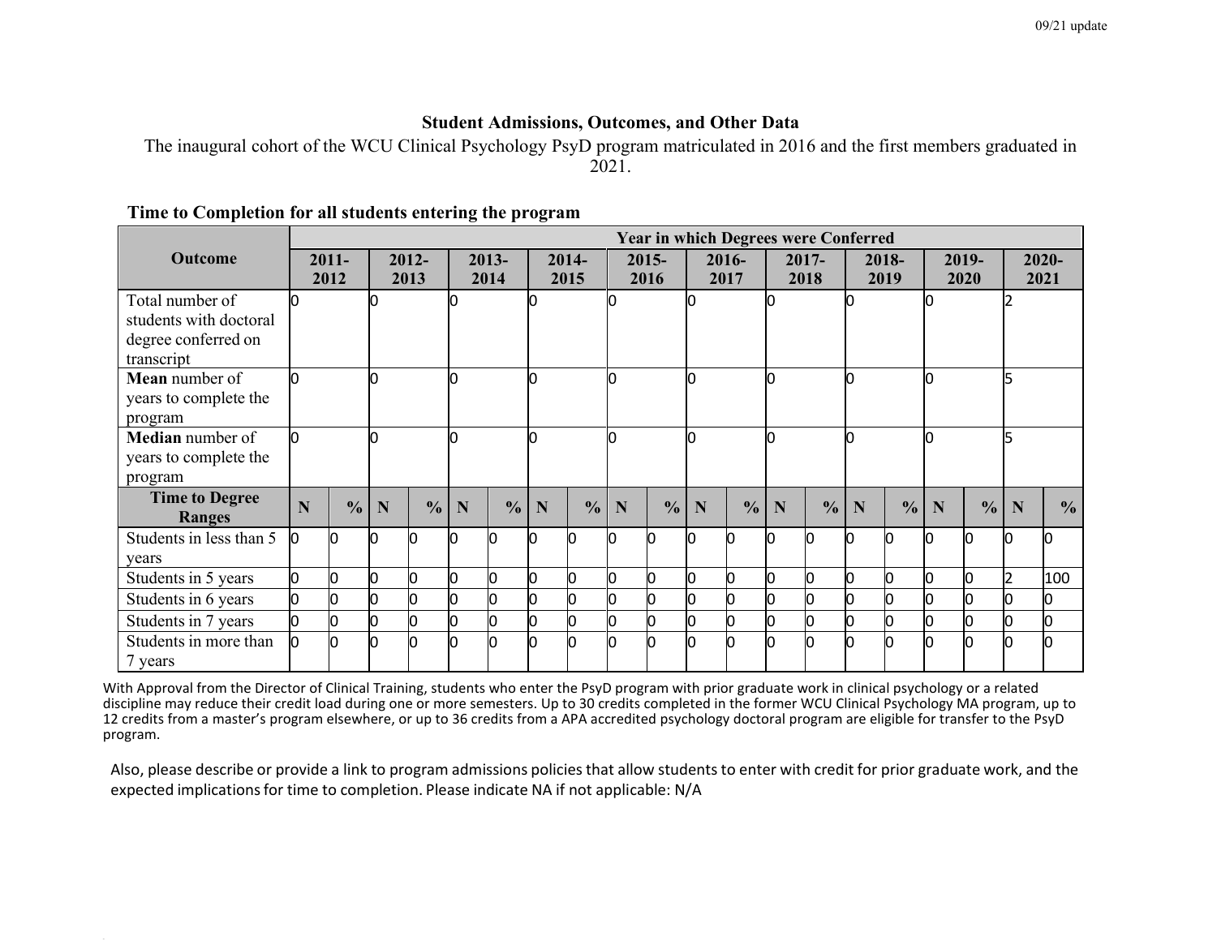### **Student Admissions, Outcomes, and Other Data**

The inaugural cohort of the WCU Clinical Psychology PsyD program matriculated in 2016 and the first members graduated in 2021.

|                         | <b>Year in which Degrees were Conferred</b> |               |    |               |      |               |   |               |     |               |                         |               |    |               |    |               |   |               |   |               |  |
|-------------------------|---------------------------------------------|---------------|----|---------------|------|---------------|---|---------------|-----|---------------|-------------------------|---------------|----|---------------|----|---------------|---|---------------|---|---------------|--|
| <b>Outcome</b>          |                                             | $2011 -$      |    | $2012 -$      |      | 2013-         |   | $2014 -$      |     | $2015 -$      |                         | 2016-         |    | 2017-         |    | 2018-         |   | 2019-         |   | $2020 -$      |  |
|                         |                                             | 2012          |    | 2013          | 2014 |               |   | 2015          |     | 2016          |                         | 2017          |    | 2018          |    | 2019          |   | 2020          |   | 2021          |  |
| Total number of         |                                             |               |    |               |      |               |   |               |     |               |                         |               |    |               |    |               |   |               |   |               |  |
| students with doctoral  |                                             |               |    |               |      |               |   |               |     |               |                         |               |    |               |    |               |   |               |   |               |  |
| degree conferred on     |                                             |               |    |               |      |               |   |               |     |               |                         |               |    |               |    |               |   |               |   |               |  |
| transcript              |                                             |               |    |               |      |               |   |               |     |               |                         |               |    |               |    |               |   |               |   |               |  |
| Mean number of          |                                             |               |    |               |      |               |   |               | IО  |               | n                       |               | l0 |               |    |               |   |               |   |               |  |
| years to complete the   |                                             |               |    |               |      |               |   |               |     |               |                         |               |    |               |    |               |   |               |   |               |  |
| program                 |                                             |               |    |               |      |               |   |               |     |               |                         |               |    |               |    |               |   |               |   |               |  |
| Median number of        |                                             |               |    |               |      |               |   |               |     | I٥            |                         | n             |    | l0            |    |               |   |               |   |               |  |
| years to complete the   |                                             |               |    |               |      |               |   |               |     |               |                         |               |    |               |    |               |   |               |   |               |  |
| program                 |                                             |               |    |               |      |               |   |               |     |               |                         |               |    |               |    |               |   |               |   |               |  |
| <b>Time to Degree</b>   |                                             |               |    |               |      |               |   |               |     |               |                         |               |    |               |    |               |   |               |   |               |  |
| <b>Ranges</b>           | N                                           | $\frac{0}{0}$ | N  | $\frac{0}{0}$ | N    | $\frac{0}{0}$ | N | $\frac{0}{0}$ | N   | $\frac{0}{0}$ | $\overline{\mathbf{N}}$ | $\frac{0}{0}$ | N  | $\frac{0}{0}$ | N  | $\frac{0}{0}$ | N | $\frac{0}{0}$ | N | $\frac{0}{0}$ |  |
| Students in less than 5 | n                                           | n             | n  | n             | lo   |               |   |               | IО  |               | n                       | n             | Ю  |               | IN |               |   |               | M | n             |  |
| years                   |                                             |               |    |               |      |               |   |               |     |               |                         |               |    |               |    |               |   |               |   |               |  |
| Students in 5 years     | n                                           |               | n. | U             | lo   |               |   |               | Ю   |               | l0                      | n             | l0 |               | n  |               | n |               |   | 100           |  |
| Students in 6 years     |                                             |               | Ю  | 0             | Ю    |               |   |               | Ю   |               | l0                      | 0             | Ю  |               | Ю  | n             |   |               | n |               |  |
| Students in 7 years     |                                             |               | l0 |               | 0    |               | O |               | Ю   |               | Ю                       | O             | Ю  |               | l0 | O.            |   |               | n |               |  |
| Students in more than   | n                                           |               | n  |               | h    |               |   |               | lo. |               | h                       | n             | l0 |               | n  |               |   | ln.           | m |               |  |
| 7 years                 |                                             |               |    |               |      |               |   |               |     |               |                         |               |    |               |    |               |   |               |   |               |  |

#### **Time to Completion for all students entering the program**

With Approval from the Director of Clinical Training, students who enter the PsyD program with prior graduate work in clinical psychology or a related discipline may reduce their credit load during one or more semesters. Up to 30 credits completed in the former WCU Clinical Psychology MA program, up to 12 credits from a master's program elsewhere, or up to 36 credits from a APA accredited psychology doctoral program are eligible for transfer to the PsyD program.

Also, please describe or provide a link to program admissions policies that allow students to enter with credit for prior graduate work, and the expected implications for time to completion. Please indicate NA if not applicable: N/A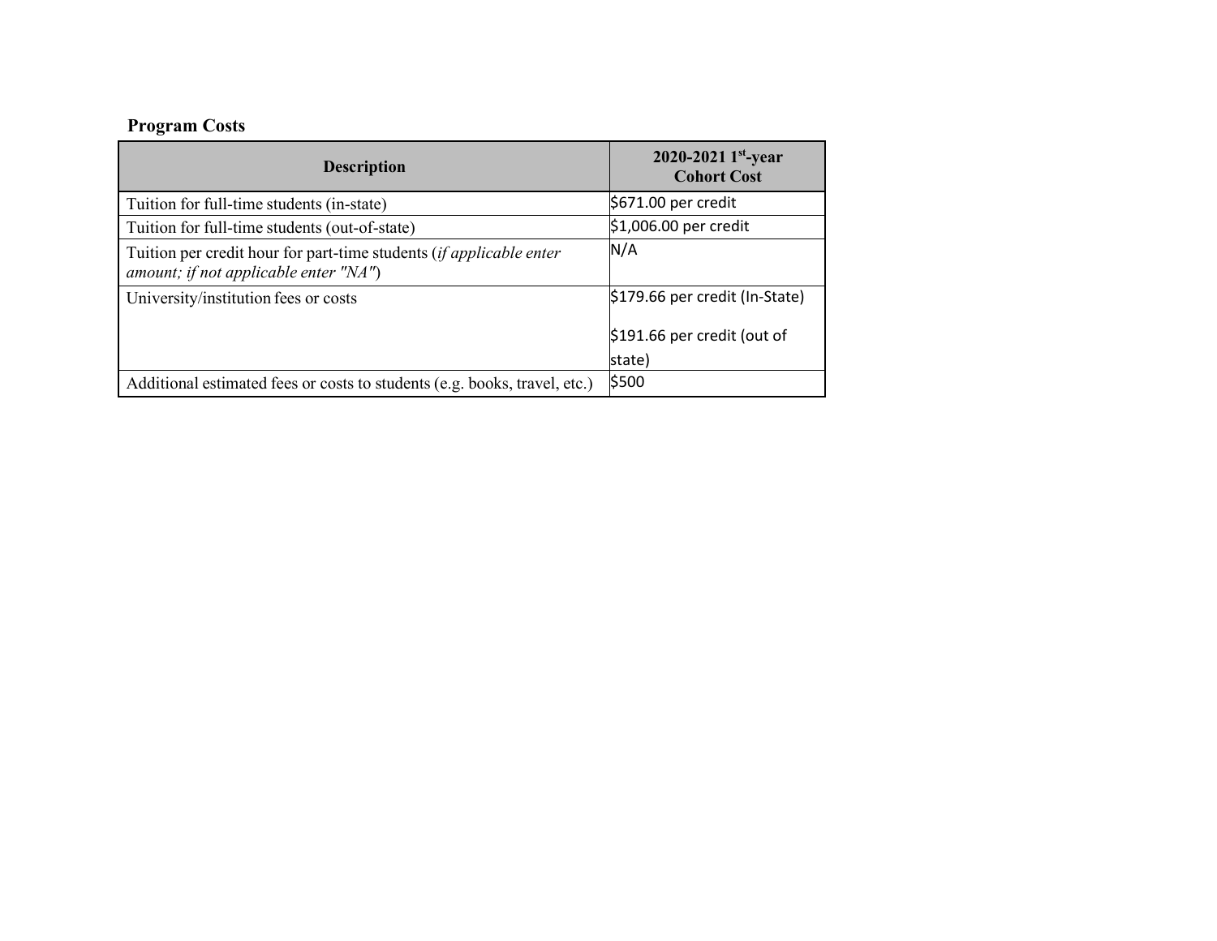# **Program Costs**

| <b>Description</b>                                                                                               | 2020-2021 1st-year<br><b>Cohort Cost</b> |
|------------------------------------------------------------------------------------------------------------------|------------------------------------------|
| Tuition for full-time students (in-state)                                                                        | $$671.00$ per credit                     |
| Tuition for full-time students (out-of-state)                                                                    | $$1,006.00$ per credit                   |
| Tuition per credit hour for part-time students (if applicable enter<br>amount; if not applicable enter " $NA$ ") | N/A                                      |
| University/institution fees or costs                                                                             | $$179.66$ per credit (In-State)          |
|                                                                                                                  | $$191.66$ per credit (out of             |
|                                                                                                                  | state)                                   |
| Additional estimated fees or costs to students (e.g. books, travel, etc.)                                        | \$500                                    |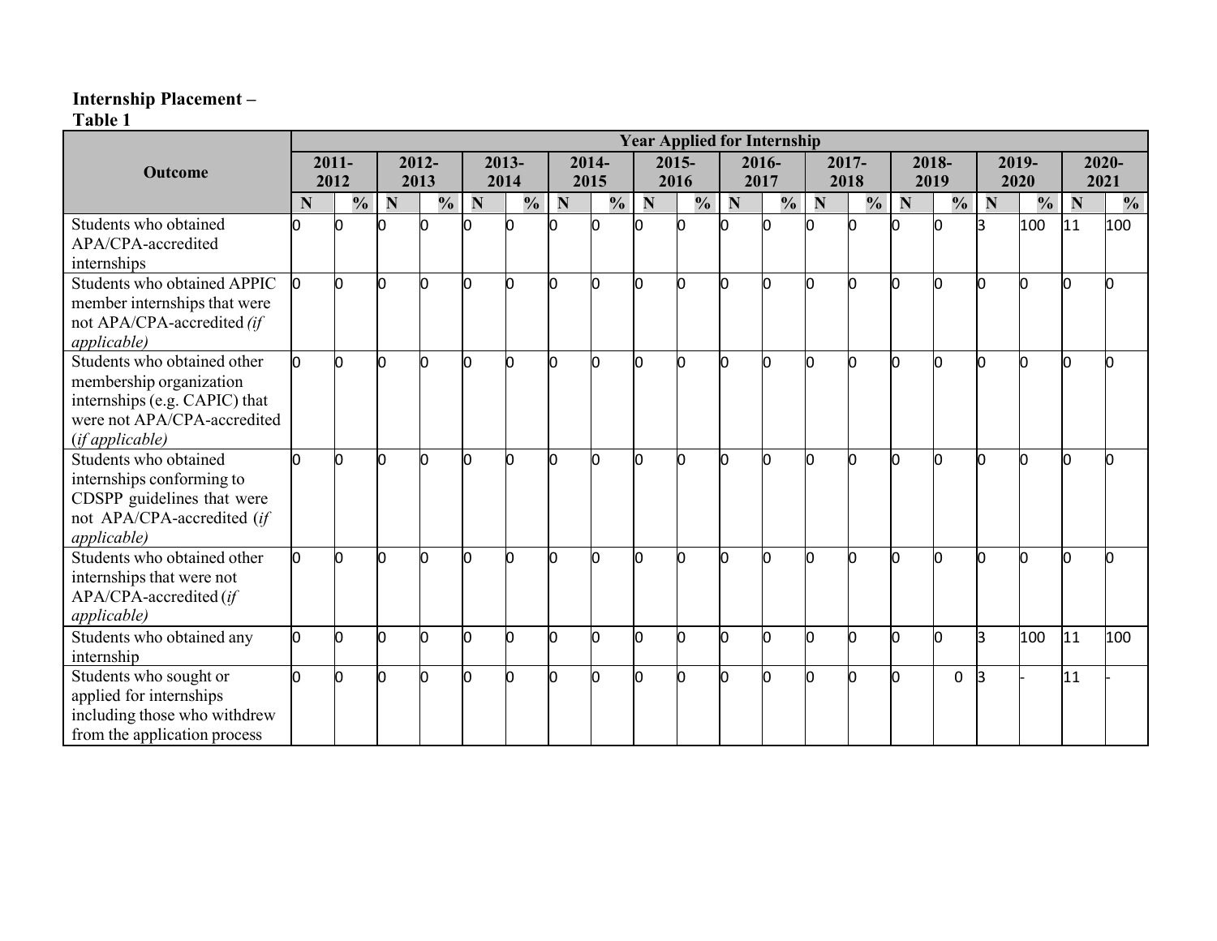### **Internship Placement –**

**Table 1**

|                               | <b>Year Applied for Internship</b> |               |          |               |      |               |       |               |      |               |       |               |       |               |       |               |       |               |          |               |
|-------------------------------|------------------------------------|---------------|----------|---------------|------|---------------|-------|---------------|------|---------------|-------|---------------|-------|---------------|-------|---------------|-------|---------------|----------|---------------|
| Outcome                       | $2011 -$                           |               | $2012 -$ |               |      | 2013-         | 2014- |               |      | 2015-         | 2016- |               | 2017- |               | 2018- |               | 2019- |               | $2020 -$ |               |
|                               |                                    | 2012          | 2013     |               | 2014 |               | 2015  |               | 2016 |               | 2017  |               | 2018  |               | 2019  |               | 2020  |               | 2021     |               |
|                               | N                                  | $\frac{0}{0}$ | N        | $\frac{0}{0}$ | N    | $\frac{1}{2}$ | N     | $\frac{0}{0}$ | N    | $\frac{1}{2}$ | N     | $\frac{1}{2}$ | N     | $\frac{0}{0}$ | N     | $\frac{1}{2}$ | N     | $\frac{0}{0}$ | N        | $\frac{0}{0}$ |
| Students who obtained         |                                    |               |          |               |      | n             |       | n             |      | n             |       |               |       |               |       |               |       | 100           | 111      | 100           |
| APA/CPA-accredited            |                                    |               |          |               |      |               |       |               |      |               |       |               |       |               |       |               |       |               |          |               |
| internships                   |                                    |               |          |               |      |               |       |               |      |               |       |               |       |               |       |               |       |               |          |               |
| Students who obtained APPIC   | l0                                 | n             | n        |               | Ŋ    | n             | h     | h             | n    | o             | lo    | n             |       |               | Ŋ     | n             | n     | h             | n        |               |
| member internships that were  |                                    |               |          |               |      |               |       |               |      |               |       |               |       |               |       |               |       |               |          |               |
| not APA/CPA-accredited (if    |                                    |               |          |               |      |               |       |               |      |               |       |               |       |               |       |               |       |               |          |               |
| <i>applicable</i> )           |                                    |               |          |               |      |               |       |               |      |               |       |               |       |               |       |               |       |               |          |               |
| Students who obtained other   | O.                                 | n             | Ю        |               | Ю    | n             | n     | n             | n    | O             | 10    | O             |       |               | Ю     | ŋ             | In    | n             | n        |               |
| membership organization       |                                    |               |          |               |      |               |       |               |      |               |       |               |       |               |       |               |       |               |          |               |
| internships (e.g. CAPIC) that |                                    |               |          |               |      |               |       |               |      |               |       |               |       |               |       |               |       |               |          |               |
| were not APA/CPA-accredited   |                                    |               |          |               |      |               |       |               |      |               |       |               |       |               |       |               |       |               |          |               |
| (if applicable)               |                                    |               |          |               |      |               |       |               |      |               |       |               |       |               |       |               |       |               |          |               |
| Students who obtained         |                                    | n             |          |               | Ŋ    | Ŋ             | n     | n             | n    | n             | 0     | n             |       |               | lO    | n             | n     | n             | n        |               |
| internships conforming to     |                                    |               |          |               |      |               |       |               |      |               |       |               |       |               |       |               |       |               |          |               |
| CDSPP guidelines that were    |                                    |               |          |               |      |               |       |               |      |               |       |               |       |               |       |               |       |               |          |               |
| not APA/CPA-accredited (if    |                                    |               |          |               |      |               |       |               |      |               |       |               |       |               |       |               |       |               |          |               |
| <i>applicable</i> )           |                                    |               |          |               |      |               |       |               |      |               |       |               |       |               |       |               |       |               |          |               |
| Students who obtained other   | 0                                  | n             |          |               | l0   | Ŋ             | n     | n             |      | n.            | lo    | n             |       |               | ln    | h             | In    | n             |          |               |
| internships that were not     |                                    |               |          |               |      |               |       |               |      |               |       |               |       |               |       |               |       |               |          |               |
| APA/CPA-accredited (if        |                                    |               |          |               |      |               |       |               |      |               |       |               |       |               |       |               |       |               |          |               |
| <i>applicable</i> )           |                                    |               |          |               |      |               |       |               |      |               |       |               |       |               |       |               |       |               |          |               |
| Students who obtained any     | lo.                                | n             | Ю        |               | Ю    | O             | n     | h             | n    | n.            | O     | 0             | Ю     | n             | O     | l0            | l3    | 100           | 11       | 100           |
| internship                    |                                    |               |          |               |      |               |       |               |      |               |       |               |       |               |       |               |       |               |          |               |
| Students who sought or        | n                                  | ი             | n        |               | n    | n             | h     | n             | n    | n             | lo    | ი             |       |               |       | 0             | l3    |               | 11       |               |
| applied for internships       |                                    |               |          |               |      |               |       |               |      |               |       |               |       |               |       |               |       |               |          |               |
| including those who withdrew  |                                    |               |          |               |      |               |       |               |      |               |       |               |       |               |       |               |       |               |          |               |
| from the application process  |                                    |               |          |               |      |               |       |               |      |               |       |               |       |               |       |               |       |               |          |               |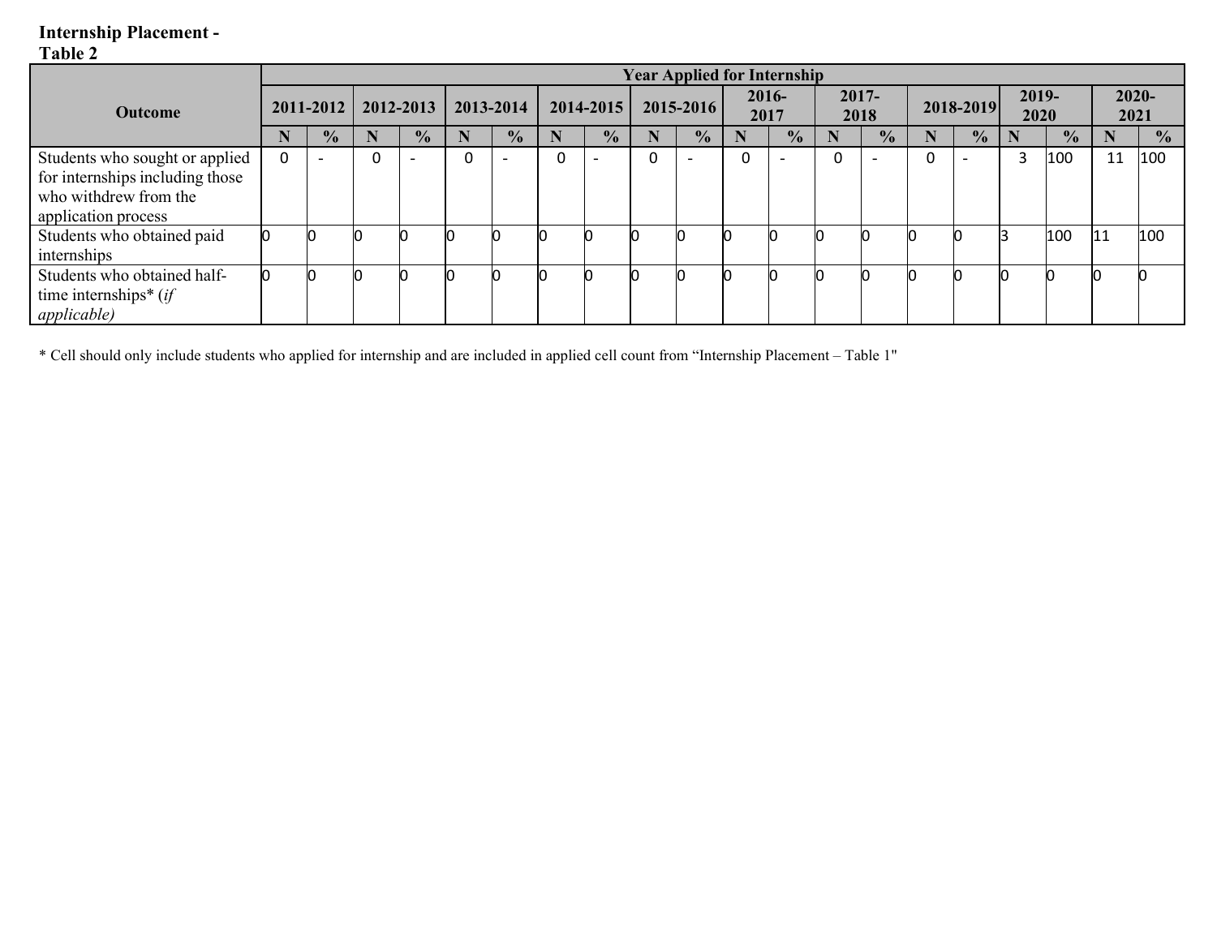### **Internship Placement -**

## **Table 2**

|                                                                                                                   | <b>Year Applied for Internship</b> |               |           |               |           |               |           |               |           |               |                  |               |                  |               |           |               |               |               |                  |               |
|-------------------------------------------------------------------------------------------------------------------|------------------------------------|---------------|-----------|---------------|-----------|---------------|-----------|---------------|-----------|---------------|------------------|---------------|------------------|---------------|-----------|---------------|---------------|---------------|------------------|---------------|
| <b>Outcome</b>                                                                                                    | $2011 - 2012$                      |               | 2012-2013 |               | 2013-2014 |               | 2014-2015 |               | 2015-2016 |               | $2016 -$<br>2017 |               | $2017 -$<br>2018 |               | 2018-2019 |               | 2019-<br>2020 |               | $2020 -$<br>2021 |               |
|                                                                                                                   |                                    | $\frac{1}{2}$ |           | $\frac{1}{2}$ |           | $\frac{1}{2}$ | N         | $\frac{1}{2}$ |           | $\frac{1}{2}$ |                  | $\frac{1}{2}$ |                  | $\frac{1}{2}$ |           | $\frac{1}{2}$ | ш             | $\frac{1}{2}$ |                  | $\frac{1}{2}$ |
| Students who sought or applied<br>for internships including those<br>who withdrew from the<br>application process | $\mathbf 0$                        |               |           |               |           |               | 0         |               |           |               |                  |               | 0                |               | 0         |               | 3             | 100           | 11               | 100           |
| Students who obtained paid<br>internships                                                                         |                                    |               |           |               |           |               |           |               |           |               |                  |               |                  |               |           |               |               | 100           | l11              | 100           |
| Students who obtained half-<br>time internships* $(if)$<br><i>applicable</i> )                                    |                                    |               |           |               |           |               |           |               |           |               |                  |               |                  |               |           |               |               |               |                  |               |

\* Cell should only include students who applied for internship and are included in applied cell count from "Internship Placement – Table 1"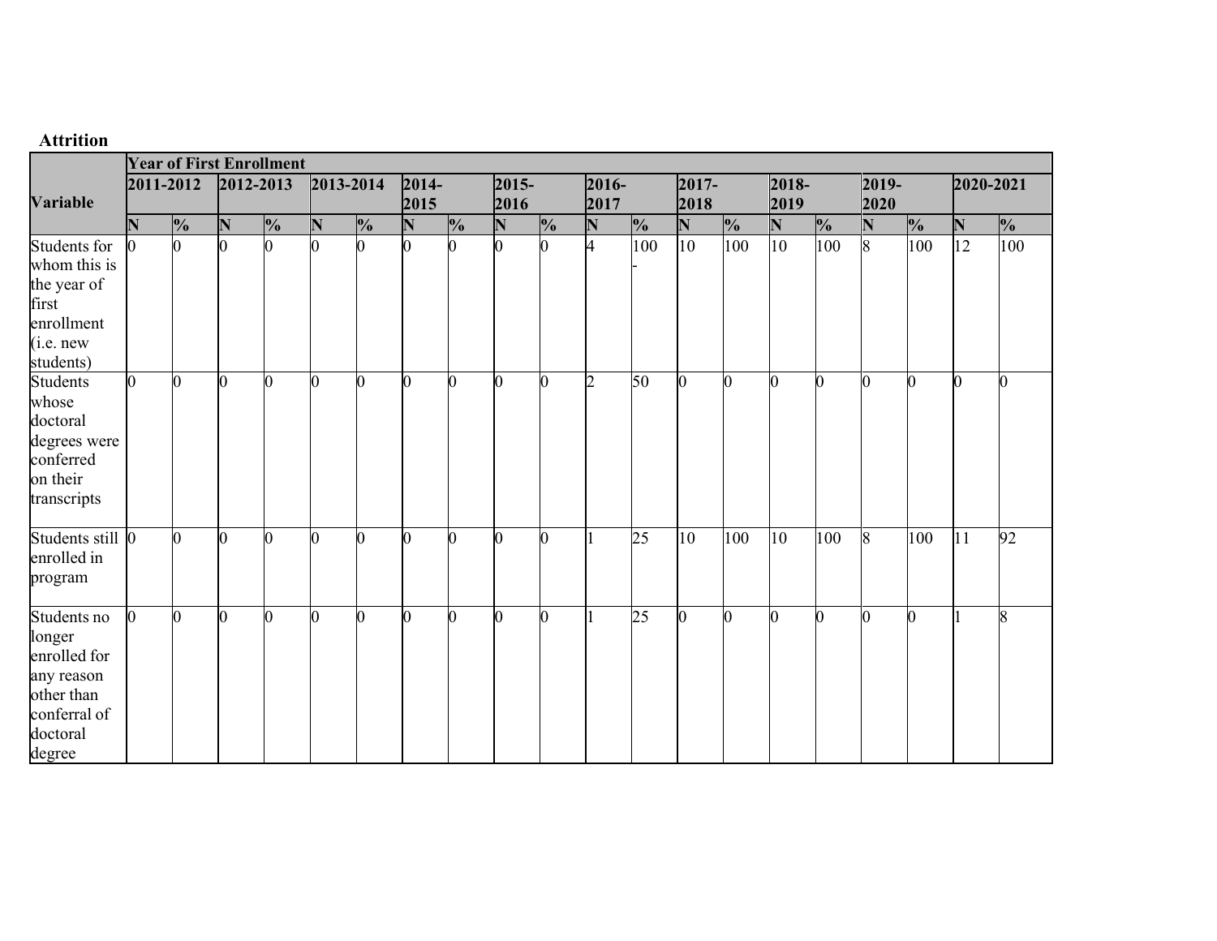## **Attrition**

|                  |                        | <b>Year of First Enrollment</b> |   |               |    |               |      |               |             |               |                         |                 |      |               |                    |               |      |                |                 |                         |
|------------------|------------------------|---------------------------------|---|---------------|----|---------------|------|---------------|-------------|---------------|-------------------------|-----------------|------|---------------|--------------------|---------------|------|----------------|-----------------|-------------------------|
|                  | 2012-2013<br>2011-2012 |                                 |   | 2013-2014     |    | $2014 -$      |      | $2015 -$      |             | $2016 -$      |                         | $2017 -$        |      | 2018-         |                    | 2019-         |      | 2020-2021      |                 |                         |
| <b>Variable</b>  |                        |                                 |   |               |    |               | 2015 |               | 2016        |               | 2017                    |                 | 2018 |               | 2019               |               | 2020 |                |                 |                         |
|                  | N                      | $\frac{1}{2}$                   | N | $\frac{1}{2}$ | N  | $\frac{1}{2}$ | N    | $\frac{1}{2}$ | $\mathbb N$ | $\frac{1}{2}$ | $\overline{\mathbf{N}}$ | $\frac{1}{2}$   | N    | $\frac{1}{2}$ | $\overline{\bf N}$ | $\frac{1}{2}$ | N    | $\frac{1}{2}$  | N               | $\frac{1}{2}$           |
| Students for     | $\bf{0}$               |                                 |   |               | n. |               | n    |               |             |               | 4                       | 100             | 10   | 100           | 10 <sup>10</sup>   | 100           | 8    | 100            | $\overline{12}$ | 100                     |
| whom this is     |                        |                                 |   |               |    |               |      |               |             |               |                         |                 |      |               |                    |               |      |                |                 |                         |
| the year of      |                        |                                 |   |               |    |               |      |               |             |               |                         |                 |      |               |                    |               |      |                |                 |                         |
| first            |                        |                                 |   |               |    |               |      |               |             |               |                         |                 |      |               |                    |               |      |                |                 |                         |
| enrollment       |                        |                                 |   |               |    |               |      |               |             |               |                         |                 |      |               |                    |               |      |                |                 |                         |
| (i.e. new)       |                        |                                 |   |               |    |               |      |               |             |               |                         |                 |      |               |                    |               |      |                |                 |                         |
| students)        |                        |                                 |   |               |    |               |      |               |             |               |                         |                 |      |               |                    |               |      |                |                 |                         |
| <b>Students</b>  | 0                      | ∩                               |   | ∩             | 0  | 0             | n    | 0             |             | 0             | $\mathcal{D}$           | 50              | 0    | ∩             | $\bf{0}$           |               | N    | $\overline{0}$ | Ю               |                         |
| whose            |                        |                                 |   |               |    |               |      |               |             |               |                         |                 |      |               |                    |               |      |                |                 |                         |
| doctoral         |                        |                                 |   |               |    |               |      |               |             |               |                         |                 |      |               |                    |               |      |                |                 |                         |
| degrees were     |                        |                                 |   |               |    |               |      |               |             |               |                         |                 |      |               |                    |               |      |                |                 |                         |
| conferred        |                        |                                 |   |               |    |               |      |               |             |               |                         |                 |      |               |                    |               |      |                |                 |                         |
| on their         |                        |                                 |   |               |    |               |      |               |             |               |                         |                 |      |               |                    |               |      |                |                 |                         |
| transcripts      |                        |                                 |   |               |    |               |      |               |             |               |                         |                 |      |               |                    |               |      |                |                 |                         |
| Students still 0 |                        | n.                              |   | n             | 0  | $\Omega$      | n    |               | ∩           | O             |                         | $\overline{25}$ | 10   | 100           | 10                 | 100           | 8    | 100            | 11              | 92                      |
| enrolled in      |                        |                                 |   |               |    |               |      |               |             |               |                         |                 |      |               |                    |               |      |                |                 |                         |
| program          |                        |                                 |   |               |    |               |      |               |             |               |                         |                 |      |               |                    |               |      |                |                 |                         |
| Students no      | $\mathbf{r}$           | n.                              | U | ∩             | 0  | $\Omega$      | n    | U             | ∩           | n             |                         | 25              | O.   | n             | 0                  | $\Omega$      | n    | $\overline{0}$ |                 | $\overline{\mathbf{x}}$ |
| longer           |                        |                                 |   |               |    |               |      |               |             |               |                         |                 |      |               |                    |               |      |                |                 |                         |
| enrolled for     |                        |                                 |   |               |    |               |      |               |             |               |                         |                 |      |               |                    |               |      |                |                 |                         |
| any reason       |                        |                                 |   |               |    |               |      |               |             |               |                         |                 |      |               |                    |               |      |                |                 |                         |
| other than       |                        |                                 |   |               |    |               |      |               |             |               |                         |                 |      |               |                    |               |      |                |                 |                         |
| conferral of     |                        |                                 |   |               |    |               |      |               |             |               |                         |                 |      |               |                    |               |      |                |                 |                         |
| doctoral         |                        |                                 |   |               |    |               |      |               |             |               |                         |                 |      |               |                    |               |      |                |                 |                         |
| degree           |                        |                                 |   |               |    |               |      |               |             |               |                         |                 |      |               |                    |               |      |                |                 |                         |